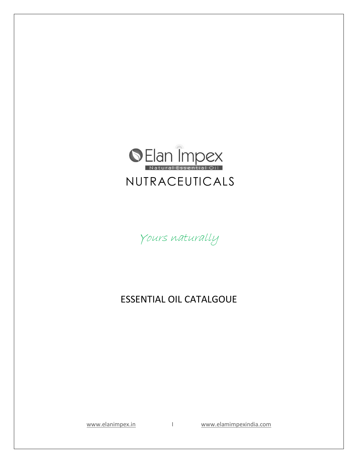

Yours naturally

## ESSENTIAL OIL CATALGOUE

[www.elanimpex.in](http://www.elanimpex.in/) I [www.elamimpexindia.com](http://www.elamimpexindia.com/)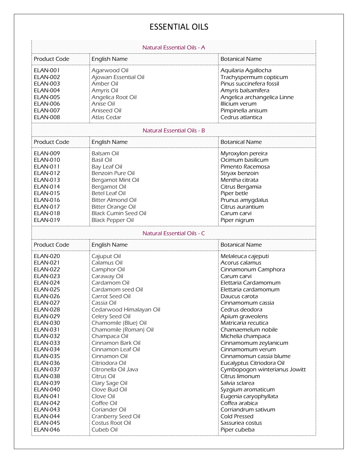## ESSENTIAL OILS

| Natural Essential Oils - A                                                                                                                                                                                                                                                                                                                                                                                                                                                       |                                                                                                                                                                                                                                                                                                                                                                                                                                                                     |                                                                                                                                                                                                                                                                                                                                                                                                                                                                                                                                                                   |  |  |
|----------------------------------------------------------------------------------------------------------------------------------------------------------------------------------------------------------------------------------------------------------------------------------------------------------------------------------------------------------------------------------------------------------------------------------------------------------------------------------|---------------------------------------------------------------------------------------------------------------------------------------------------------------------------------------------------------------------------------------------------------------------------------------------------------------------------------------------------------------------------------------------------------------------------------------------------------------------|-------------------------------------------------------------------------------------------------------------------------------------------------------------------------------------------------------------------------------------------------------------------------------------------------------------------------------------------------------------------------------------------------------------------------------------------------------------------------------------------------------------------------------------------------------------------|--|--|
| <b>Product Code</b>                                                                                                                                                                                                                                                                                                                                                                                                                                                              | <b>English Name</b>                                                                                                                                                                                                                                                                                                                                                                                                                                                 | <b>Botanical Name</b>                                                                                                                                                                                                                                                                                                                                                                                                                                                                                                                                             |  |  |
| <b>ELAN-001</b><br><b>ELAN-002</b><br><b>ELAN-003</b><br>ELAN-004<br><b>ELAN-005</b><br><b>ELAN-006</b><br><b>ELAN-007</b><br><b>ELAN-008</b>                                                                                                                                                                                                                                                                                                                                    | Agarwood Oil<br>Ajowan Essential Oil<br>Amber Oil<br>Amyris Oil<br>Angelica Root Oil<br>Anise Oil<br>Aniseed Oil<br>Atlas Cedar                                                                                                                                                                                                                                                                                                                                     | Aquilaria Agallocha<br>Trachyspermum copticum<br>Pinus succinefera fossil<br>Amyris balsamifera<br>Angelica archangelica Linne<br>Illicium verum<br>Pimpinella anisum<br>Cedrus atlantica                                                                                                                                                                                                                                                                                                                                                                         |  |  |
| <b>Natural Essential Oils - B</b>                                                                                                                                                                                                                                                                                                                                                                                                                                                |                                                                                                                                                                                                                                                                                                                                                                                                                                                                     |                                                                                                                                                                                                                                                                                                                                                                                                                                                                                                                                                                   |  |  |
| <b>Product Code</b>                                                                                                                                                                                                                                                                                                                                                                                                                                                              | <b>English Name</b>                                                                                                                                                                                                                                                                                                                                                                                                                                                 | <b>Botanical Name</b>                                                                                                                                                                                                                                                                                                                                                                                                                                                                                                                                             |  |  |
| <b>ELAN-009</b><br><b>ELAN-010</b><br><b>ELAN-011</b><br><b>ELAN-012</b><br>ELAN-013<br><b>ELAN-014</b><br>ELAN-015<br><b>ELAN-016</b><br><b>ELAN-017</b><br><b>ELAN-018</b><br><b>ELAN-019</b>                                                                                                                                                                                                                                                                                  | <b>Balsam Oil</b><br><b>Basil Oil</b><br>Bay Leaf Oil<br>Benzoin Pure Oil<br>Bergamot Mint Oil<br>Bergamot Oil<br><b>Betel Leaf Oil</b><br><b>Bitter Almond Oil</b><br><b>Bitter Orange Oil</b><br><b>Black Cumin Seed Oil</b><br><b>Black Pepper Oil</b>                                                                                                                                                                                                           | Myroxylon pereira<br>Ocimum basilicum<br>Pimento Racemosa<br>Stryax benzoin<br>Mentha citrata<br>Citrus Bergamia<br>Piper betle<br>Prunus amygdalus<br>Citrus aurantium<br>Carum carvi<br>Piper nigrum                                                                                                                                                                                                                                                                                                                                                            |  |  |
| Natural Essential Oils - C                                                                                                                                                                                                                                                                                                                                                                                                                                                       |                                                                                                                                                                                                                                                                                                                                                                                                                                                                     |                                                                                                                                                                                                                                                                                                                                                                                                                                                                                                                                                                   |  |  |
| <b>Product Code</b>                                                                                                                                                                                                                                                                                                                                                                                                                                                              | <b>English Name</b>                                                                                                                                                                                                                                                                                                                                                                                                                                                 | <b>Botanical Name</b>                                                                                                                                                                                                                                                                                                                                                                                                                                                                                                                                             |  |  |
| <b>ELAN-020</b><br><b>ELAN-021</b><br><b>ELAN-022</b><br><b>ELAN-023</b><br><b>ELAN-024</b><br><b>ELAN-025</b><br><b>ELAN-026</b><br><b>ELAN-027</b><br><b>ELAN-028</b><br><b>ELAN-029</b><br><b>ELAN-030</b><br><b>ELAN-031</b><br><b>ELAN-032</b><br><b>ELAN-033</b><br><b>ELAN-034</b><br><b>ELAN-035</b><br><b>ELAN-036</b><br><b>ELAN-037</b><br><b>ELAN-038</b><br><b>ELAN-039</b><br><b>ELAN-040</b><br><b>ELAN-041</b><br><b>ELAN-042</b><br><b>ELAN-043</b><br>ELAN-044 | Cajuput Oil<br>Calamus Oil<br>Camphor Oil<br>Caraway Oil<br>Cardamom Oil<br>Cardamom seed Oil<br>Carrot Seed Oil<br>Cassia Oil<br>Cedarwood Himalayan Oil<br>Celery Seed Oil<br>Chamomile (Blue) Oil<br>Chamomile (Roman) Oil<br>Champaca Oil<br>Cinnamon Bark Oil<br>Cinnamon Leaf Oil<br>Cinnamon Oil<br>Citriodora Oil<br>Citronella Oil Java<br>Citrus Oil<br>Clary Sage Oil<br>Clove Bud Oil<br>Clove Oil<br>Coffee Oil<br>Coriander Oil<br>Cranberry Seed Oil | Melaleuca cajeputi<br>Acorus calamus<br>Cinnamonum Camphora<br>Carum carvi<br>Elettaria Cardamomum<br>Elettaria cardamomum<br>Daucus carota<br>Cinnamomum cassia<br>Cedrus deodora<br>Apium graveolens<br>Matricaria recutica<br>Chamaemelum nobile<br>Michelia champaca<br>Cinnamomum zeylanicum<br>Cinnamomum verum<br>Cinnamomun cassia blume<br>Eucalyptus Citriodora Oil<br>Cymbopogon winterianus Jowitt<br>Citrus limonum<br>Salvia sclarea<br>Syzgium aromaticum<br>Eugenia caryophyllata<br>Coffea arabica<br>Corriandrum sativum<br><b>Cold Pressed</b> |  |  |
| <b>ELAN-045</b><br><b>ELAN-046</b>                                                                                                                                                                                                                                                                                                                                                                                                                                               | Costus Root Oil<br>Cubeb Oil                                                                                                                                                                                                                                                                                                                                                                                                                                        | Sassuriea costus<br>Piper cubeba                                                                                                                                                                                                                                                                                                                                                                                                                                                                                                                                  |  |  |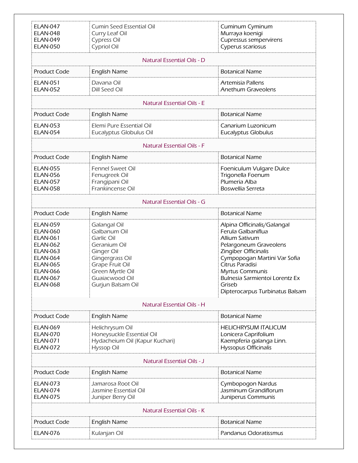| <b>ELAN-047</b><br><b>ELAN-048</b><br><b>ELAN-049</b><br><b>ELAN-050</b>                                                                                                             | Cumin Seed Essential Oil<br>Curry Leaf Oil<br>Cypress Oil<br>Cypriol Oil                                                                                                         | Cuminum Cyminum<br>Murraya koenigi<br>Cupressus sempervirens<br>Cyperus scariosus                                                                                                                                                                                                 |  |  |
|--------------------------------------------------------------------------------------------------------------------------------------------------------------------------------------|----------------------------------------------------------------------------------------------------------------------------------------------------------------------------------|-----------------------------------------------------------------------------------------------------------------------------------------------------------------------------------------------------------------------------------------------------------------------------------|--|--|
| Natural Essential Oils - D                                                                                                                                                           |                                                                                                                                                                                  |                                                                                                                                                                                                                                                                                   |  |  |
| <b>Product Code</b>                                                                                                                                                                  | <b>English Name</b>                                                                                                                                                              | <b>Botanical Name</b>                                                                                                                                                                                                                                                             |  |  |
| <b>ELAN-051</b><br><b>ELAN-052</b>                                                                                                                                                   | Davana Oil<br>Dill Seed Oil                                                                                                                                                      | Artemisia Pallens<br>Anethum Graveolens                                                                                                                                                                                                                                           |  |  |
|                                                                                                                                                                                      | <b>Natural Essential Oils - E</b>                                                                                                                                                |                                                                                                                                                                                                                                                                                   |  |  |
| <b>Product Code</b>                                                                                                                                                                  | <b>English Name</b>                                                                                                                                                              | <b>Botanical Name</b>                                                                                                                                                                                                                                                             |  |  |
| <b>ELAN-053</b><br><b>ELAN-054</b>                                                                                                                                                   | Elemi Pure Essential Oil<br>Eucalyptus Globulus Oil                                                                                                                              | Canarium Luzonicum<br><b>Eucalyptus Globulus</b>                                                                                                                                                                                                                                  |  |  |
|                                                                                                                                                                                      | <b>Natural Essential Oils - F</b>                                                                                                                                                |                                                                                                                                                                                                                                                                                   |  |  |
| <b>Product Code</b>                                                                                                                                                                  | <b>English Name</b>                                                                                                                                                              | <b>Botanical Name</b>                                                                                                                                                                                                                                                             |  |  |
| <b>ELAN-055</b><br><b>ELAN-056</b><br><b>ELAN-057</b><br><b>ELAN-058</b>                                                                                                             | Fennel Sweet Oil<br>Fenugreek Oil<br>Frangipani Oil<br>Frankincense Oil                                                                                                          | Foeniculum Vulgare Dulce<br>Trigonella Foenum<br>Plumeria Alba<br>Boswellia Serreta                                                                                                                                                                                               |  |  |
| <b>Natural Essential Oils - G</b>                                                                                                                                                    |                                                                                                                                                                                  |                                                                                                                                                                                                                                                                                   |  |  |
| <b>Product Code</b>                                                                                                                                                                  | <b>English Name</b>                                                                                                                                                              | <b>Botanical Name</b>                                                                                                                                                                                                                                                             |  |  |
| <b>ELAN-059</b><br><b>ELAN-060</b><br><b>ELAN-061</b><br><b>ELAN-062</b><br><b>ELAN-063</b><br><b>ELAN-064</b><br><b>ELAN-065</b><br><b>ELAN-066</b><br>FI AN-067<br><b>ELAN-068</b> | <b>Galangal Oil</b><br>Galbanum Oil<br>Garlic Oil<br>Geranium Oil<br>Ginger Oil<br>Gingergrass Oil<br>Grape Fruit Oil<br>Green Myrtle Oil<br>Guaiacwood Oil<br>Gurjun Balsam Oil | Alpina Officinalis/Galangal<br>Ferula Galbaniflua<br>Allium Sativum<br>Pelargoneum Graveolens<br>Zingiber Officinalis<br>Cympopogan Martini Var Sofia<br>Citrus Paradisi<br><b>Myrtus Communis</b><br>Bulnesia Sarmientoi Lorentz Ex<br>Griseb<br>Dipterocarpus Turbinatus Balsam |  |  |
| Natural Essential Oils - H                                                                                                                                                           |                                                                                                                                                                                  |                                                                                                                                                                                                                                                                                   |  |  |
| <b>Product Code</b>                                                                                                                                                                  | <b>English Name</b>                                                                                                                                                              | <b>Botanical Name</b>                                                                                                                                                                                                                                                             |  |  |
| <b>ELAN-069</b><br><b>ELAN-070</b><br><b>ELAN-071</b><br><b>ELAN-072</b>                                                                                                             | Helichrysum Oil<br>Honeysuckle Essential Oil<br>Hydacheium Oil (Kapur Kuchari)<br>Hyssop Oil                                                                                     | <b>HELICHRYSUM ITALICUM</b><br>Lonicera Caprifolium<br>Kaempferia galanga Linn.<br>Hyssopus Officinalis                                                                                                                                                                           |  |  |
| Natural Essential Oils - J                                                                                                                                                           |                                                                                                                                                                                  |                                                                                                                                                                                                                                                                                   |  |  |
| <b>Product Code</b>                                                                                                                                                                  | <b>English Name</b>                                                                                                                                                              | <b>Botanical Name</b>                                                                                                                                                                                                                                                             |  |  |
| <b>ELAN-073</b><br><b>ELAN-074</b><br><b>ELAN-075</b>                                                                                                                                | Jamarosa Root Oil<br>Jasmine Essential Oil<br>Juniper Berry Oil                                                                                                                  | Cymbopogon Nardus<br>Jasminum Grandiflorum<br>Juniperus Communis                                                                                                                                                                                                                  |  |  |
| Natural Essential Oils - K                                                                                                                                                           |                                                                                                                                                                                  |                                                                                                                                                                                                                                                                                   |  |  |
| <b>Product Code</b>                                                                                                                                                                  | <b>English Name</b>                                                                                                                                                              | <b>Botanical Name</b>                                                                                                                                                                                                                                                             |  |  |
| <b>ELAN-076</b>                                                                                                                                                                      | Kulanjan Oil                                                                                                                                                                     | Pandanus Odoratissmus                                                                                                                                                                                                                                                             |  |  |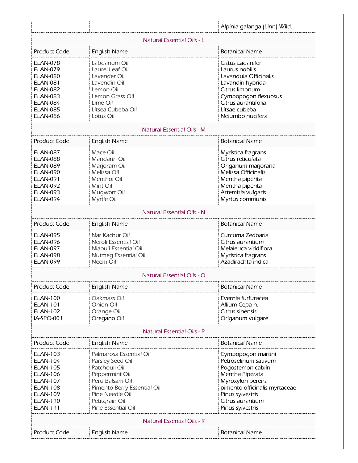|                                                                                                                                                                         |                                                                                                                                                                                             | Alpinia galanga (Linn) Wild.                                                                                                                                                                         |  |  |
|-------------------------------------------------------------------------------------------------------------------------------------------------------------------------|---------------------------------------------------------------------------------------------------------------------------------------------------------------------------------------------|------------------------------------------------------------------------------------------------------------------------------------------------------------------------------------------------------|--|--|
| Natural Essential Oils - L                                                                                                                                              |                                                                                                                                                                                             |                                                                                                                                                                                                      |  |  |
| <b>Product Code</b>                                                                                                                                                     | <b>English Name</b>                                                                                                                                                                         | <b>Botanical Name</b>                                                                                                                                                                                |  |  |
| <b>ELAN-078</b><br><b>ELAN-079</b><br><b>ELAN-080</b><br><b>ELAN-081</b><br><b>ELAN-082</b><br><b>ELAN-083</b><br><b>ELAN-084</b><br><b>ELAN-085</b><br><b>ELAN-086</b> | Labdanum Oil<br>Laurel Leaf Oil<br>Lavender Oil<br>Lavendin Oil<br>Lemon Oil<br>Lemon Grass Oil<br>Lime Oil<br>Litsea Cubeba Oil<br>Lotus Oil                                               | Cistus Ladanifer<br>Laurus nobilis<br>Lavandula Officinalis<br>Lavandin hybrida<br>Citrus limonum<br>Cymbopogon flexuosus<br>Citrus aurantifolia<br>Litsae cubeba<br>Nelumbo nucifera                |  |  |
|                                                                                                                                                                         | <b>Natural Essential Oils - M</b>                                                                                                                                                           |                                                                                                                                                                                                      |  |  |
| <b>Product Code</b>                                                                                                                                                     | <b>English Name</b>                                                                                                                                                                         | <b>Botanical Name</b>                                                                                                                                                                                |  |  |
| <b>ELAN-087</b><br><b>ELAN-088</b><br><b>ELAN-089</b><br><b>ELAN-090</b><br><b>ELAN-091</b><br><b>ELAN-092</b><br>ELAN-093<br><b>ELAN-094</b>                           | Mace Oil<br>Mandarin Oil<br>Marjoram Oil<br>Melissa Oil<br>Menthol Oil<br>Mint Oil<br>Mugwort Oil<br>Myrtle Oil                                                                             | Myristica fragrans<br>Citrus reticulata<br>Origanum marjorana<br>Melissa Officinalis<br>Mentha piperita<br>Mentha piperita<br>Artemisia vulgaris<br>Myrtus communis                                  |  |  |
|                                                                                                                                                                         | <b>Natural Essential Oils - N</b>                                                                                                                                                           |                                                                                                                                                                                                      |  |  |
| <b>Product Code</b>                                                                                                                                                     | <b>English Name</b>                                                                                                                                                                         | <b>Botanical Name</b>                                                                                                                                                                                |  |  |
| <b>ELAN-095</b><br><b>ELAN-096</b><br><b>ELAN-097</b><br><b>ELAN-098</b><br><b>ELAN-099</b>                                                                             | Nar Kachur Oil<br>Neroli Essential Oil<br>Niaouli Essential Oil<br>Nutmeg Essential Oil<br>Neem Oil                                                                                         | Curcuma Zedoaria<br>Citrus aurantium<br>Melaleuca viridiflora<br>Myristica fragrans<br>Azadirachta indica                                                                                            |  |  |
|                                                                                                                                                                         | Natural Essential Oils - O                                                                                                                                                                  |                                                                                                                                                                                                      |  |  |
| <b>Product Code</b>                                                                                                                                                     | <b>English Name</b>                                                                                                                                                                         | <b>Botanical Name</b>                                                                                                                                                                                |  |  |
| <b>ELAN-100</b><br>ELAN-101<br><b>ELAN-102</b><br>IA-SPO-001                                                                                                            | Oakmass Oil<br>Onion Oil<br>Orange Oil<br>Oregano Oil                                                                                                                                       | Evernia furfuracea<br>Allium Cepa h.<br>Citrus sinensis<br>Origanum vulgare                                                                                                                          |  |  |
| <b>Natural Essential Oils - P</b>                                                                                                                                       |                                                                                                                                                                                             |                                                                                                                                                                                                      |  |  |
| <b>Product Code</b>                                                                                                                                                     | <b>English Name</b>                                                                                                                                                                         | <b>Botanical Name</b>                                                                                                                                                                                |  |  |
| <b>ELAN-103</b><br><b>ELAN-104</b><br><b>ELAN-105</b><br><b>ELAN-106</b><br><b>ELAN-107</b><br><b>ELAN-108</b><br><b>ELAN-109</b><br><b>ELAN-110</b><br><b>ELAN-111</b> | Palmarosa Essential Oil<br>Parsley Seed Oil<br>Patchouli Oil<br>Peppermint Oil<br>Peru Balsam Oil<br>Pimento Berry Essential Oil<br>Pine Needle Oil<br>Petitgrain Oil<br>Pine Essential Oil | Cymbopogon martini<br>Petroselinum sativum<br>Pogostemon cablin<br>Mentha Piperata<br>Myroxylon pereira<br>pimento officinalis myrtaceae<br>Pinus sylvestris<br>Citrus aurantium<br>Pinus sylvestris |  |  |
| <b>Natural Essential Oils - R</b>                                                                                                                                       |                                                                                                                                                                                             |                                                                                                                                                                                                      |  |  |
| <b>Product Code</b>                                                                                                                                                     | <b>English Name</b>                                                                                                                                                                         | <b>Botanical Name</b>                                                                                                                                                                                |  |  |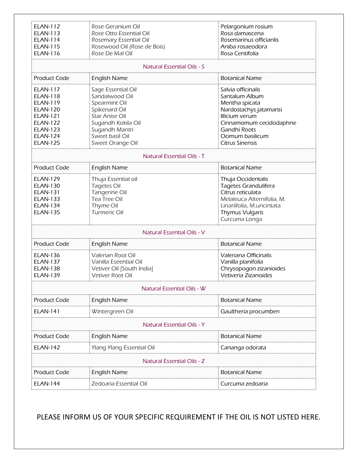| Rose Geranium Oil<br>Rose Otto Essential Oil<br>Rosemary Essential Oil<br>Rosewood Oil (Rose de Bois)<br>Rose De Mal Oil                                                       | Pelargonium rosium<br>Rosa damascena<br>Rosemarinus officianlis<br>Aniba rosaeodora<br>Rosa Centifolia                                                                                      |  |  |  |
|--------------------------------------------------------------------------------------------------------------------------------------------------------------------------------|---------------------------------------------------------------------------------------------------------------------------------------------------------------------------------------------|--|--|--|
| <b>Natural Essential Oils - S</b>                                                                                                                                              |                                                                                                                                                                                             |  |  |  |
| <b>English Name</b>                                                                                                                                                            | <b>Botanical Name</b>                                                                                                                                                                       |  |  |  |
| Sage Essential Oil<br>Sandalwood Oil<br>Spearmint Oil<br>Spikenard Oil<br><b>Star Anise Oil</b><br>Sugandh Kokila Oil<br>Sugandh Mantri<br>Sweet basil Oil<br>Sweet Orange Oil | Salvia officinalis<br>Santalum Album<br>Mentha spicata<br>Nardostachys jatamansi<br>Illicium verum<br>Cinnamomum cecidodaphne<br>Gandhi Roots<br>Ocimum basilicum<br><b>Citrus Sinensis</b> |  |  |  |
| <b>Natural Essential Oils - T</b>                                                                                                                                              |                                                                                                                                                                                             |  |  |  |
| <b>English Name</b>                                                                                                                                                            | <b>Botanical Name</b>                                                                                                                                                                       |  |  |  |
| Thuja Essential oil<br><b>Tagetes Oil</b><br>Tangerine Oil<br>Tea Tree Oil<br>Thyme Oil<br>Turmeric Oil                                                                        | Thuja Occidentalis<br>Tagetes Grandulifera<br>Citrus reticulata<br>Melaleuca Alternifolia, M.<br>Linariifolia, M.uncintata<br><b>Thymus Vulgaris</b><br>Curcuma Longa                       |  |  |  |
| <b>Natural Essential Oils - V</b>                                                                                                                                              |                                                                                                                                                                                             |  |  |  |
| <b>English Name</b>                                                                                                                                                            | <b>Botanical Name</b>                                                                                                                                                                       |  |  |  |
| Valerian Root Oil<br>Vanilla Eseential Oil<br>Vetiver Oil [South India]<br>Vetiver Root Oil                                                                                    | Valeriana Officinalis<br>Vanilla planifolia<br>Chrysopogon zizanioides<br>Vetiveria Zizanoides                                                                                              |  |  |  |
| <b>Natural Essential Oils - W</b>                                                                                                                                              |                                                                                                                                                                                             |  |  |  |
| <b>English Name</b>                                                                                                                                                            | <b>Botanical Name</b>                                                                                                                                                                       |  |  |  |
| Wintergreen Oil                                                                                                                                                                | Gaultheria procumben                                                                                                                                                                        |  |  |  |
| <b>Natural Essential Oils - Y</b>                                                                                                                                              |                                                                                                                                                                                             |  |  |  |
| <b>English Name</b>                                                                                                                                                            | <b>Botanical Name</b>                                                                                                                                                                       |  |  |  |
| <b>Ylang Ylang Essential Oil</b>                                                                                                                                               | Cananga odorata                                                                                                                                                                             |  |  |  |
| Natural Essential Oils - Z                                                                                                                                                     |                                                                                                                                                                                             |  |  |  |
| <b>English Name</b>                                                                                                                                                            | <b>Botanical Name</b>                                                                                                                                                                       |  |  |  |
| Zedoaria Essential Oil                                                                                                                                                         | Curcuma zedoaria                                                                                                                                                                            |  |  |  |
|                                                                                                                                                                                |                                                                                                                                                                                             |  |  |  |

PLEASE INFORM US OF YOUR SPECIFIC REQUIREMENT IF THE OIL IS NOT LISTED HERE.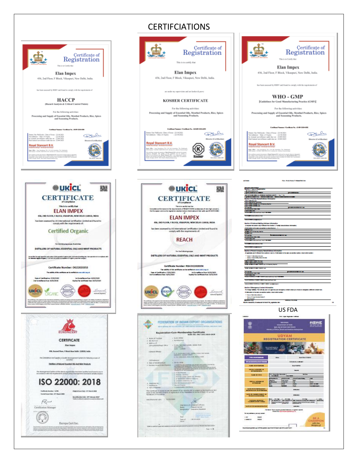



## CERTIFCIATIONS